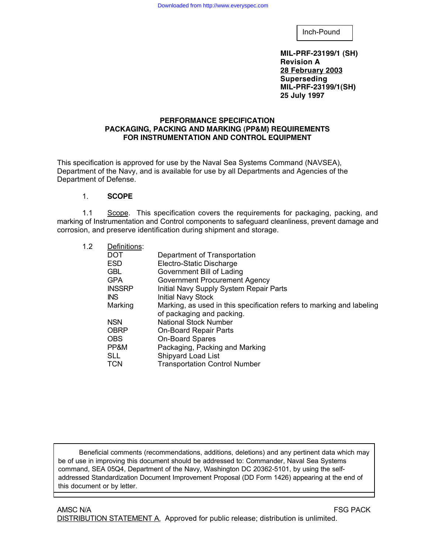Inch-Pound

**MIL-PRF-23199/1 (SH) Revision A 28 February 2003 Superseding MIL-PRF-23199/1(SH) 25 July 1997**

### **PERFORMANCE SPECIFICATION PACKAGING, PACKING AND MARKING (PP&M) REQUIREMENTS FOR INSTRUMENTATION AND CONTROL EQUIPMENT**

This specification is approved for use by the Naval Sea Systems Command (NAVSEA), Department of the Navy, and is available for use by all Departments and Agencies of the Department of Defense.

### 1. **SCOPE**

1.1 Scope. This specification covers the requirements for packaging, packing, and marking of Instrumentation and Control components to safeguard cleanliness, prevent damage and corrosion, and preserve identification during shipment and storage.

| 1.2 | Definitions:  |                                                                       |  |  |
|-----|---------------|-----------------------------------------------------------------------|--|--|
|     | <b>DOT</b>    | Department of Transportation                                          |  |  |
|     | <b>ESD</b>    | Electro-Static Discharge                                              |  |  |
|     | <b>GBL</b>    | Government Bill of Lading                                             |  |  |
|     | <b>GPA</b>    | <b>Government Procurement Agency</b>                                  |  |  |
|     | <b>INSSRP</b> | Initial Navy Supply System Repair Parts                               |  |  |
|     | INS.          | <b>Initial Navy Stock</b>                                             |  |  |
|     | Marking       | Marking, as used in this specification refers to marking and labeling |  |  |
|     |               | of packaging and packing.                                             |  |  |
|     | <b>NSN</b>    | <b>National Stock Number</b>                                          |  |  |
|     | <b>OBRP</b>   | <b>On-Board Repair Parts</b>                                          |  |  |
|     | <b>OBS</b>    | <b>On-Board Spares</b>                                                |  |  |
|     | PP&M          | Packaging, Packing and Marking                                        |  |  |
|     | <b>SLL</b>    | Shipyard Load List                                                    |  |  |
|     | <b>TCN</b>    | <b>Transportation Control Number</b>                                  |  |  |
|     |               |                                                                       |  |  |

Beneficial comments (recommendations, additions, deletions) and any pertinent data which may be of use in improving this document should be addressed to: Commander, Naval Sea Systems command, SEA 05Q4, Department of the Navy, Washington DC 20362-5101, by using the selfaddressed Standardization Document Improvement Proposal (DD Form 1426) appearing at the end of this document or by letter.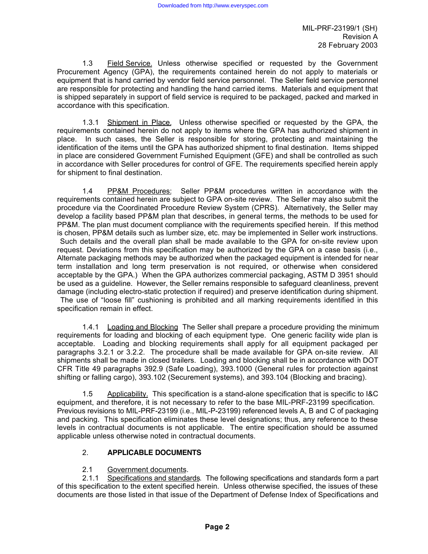1.3 Field Service. Unless otherwise specified or requested by the Government Procurement Agency (GPA), the requirements contained herein do not apply to materials or equipment that is hand carried by vendor field service personnel. The Seller field service personnel are responsible for protecting and handling the hand carried items. Materials and equipment that is shipped separately in support of field service is required to be packaged, packed and marked in accordance with this specification.

1.3.1 Shipment in Place. Unless otherwise specified or requested by the GPA, the requirements contained herein do not apply to items where the GPA has authorized shipment in place. In such cases, the Seller is responsible for storing, protecting and maintaining the identification of the items until the GPA has authorized shipment to final destination. Items shipped in place are considered Government Furnished Equipment (GFE) and shall be controlled as such in accordance with Seller procedures for control of GFE. The requirements specified herein apply for shipment to final destination.

1.4 PP&M Procedures: Seller PP&M procedures written in accordance with the requirements contained herein are subject to GPA on-site review. The Seller may also submit the procedure via the Coordinated Procedure Review System (CPRS). Alternatively, the Seller may develop a facility based PP&M plan that describes, in general terms, the methods to be used for PP&M. The plan must document compliance with the requirements specified herein. If this method is chosen, PP&M details such as lumber size, etc. may be implemented in Seller work instructions. Such details and the overall plan shall be made available to the GPA for on-site review upon request. Deviations from this specification may be authorized by the GPA on a case basis (i.e., Alternate packaging methods may be authorized when the packaged equipment is intended for near term installation and long term preservation is not required, or otherwise when considered acceptable by the GPA.) When the GPA authorizes commercial packaging, ASTM D 3951 should be used as a guideline. However, the Seller remains responsible to safeguard cleanliness, prevent damage (including electro-static protection if required) and preserve identification during shipment. The use of "loose fill" cushioning is prohibited and all marking requirements identified in this specification remain in effect.

1.4.1 Loading and Blocking The Seller shall prepare a procedure providing the minimum requirements for loading and blocking of each equipment type. One generic facility wide plan is acceptable. Loading and blocking requirements shall apply for all equipment packaged per paragraphs 3.2.1 or 3.2.2. The procedure shall be made available for GPA on-site review. All shipments shall be made in closed trailers. Loading and blocking shall be in accordance with DOT CFR Title 49 paragraphs 392.9 (Safe Loading), 393.1000 (General rules for protection against shifting or falling cargo), 393.102 (Securement systems), and 393.104 (Blocking and bracing).

1.5 Applicability. This specification is a stand-alone specification that is specific to I&C equipment, and therefore, it is not necessary to refer to the base MIL-PRF-23199 specification. Previous revisions to MIL-PRF-23199 (i.e., MIL-P-23199) referenced levels A, B and C of packaging and packing. This specification eliminates these level designations; thus, any reference to these levels in contractual documents is not applicable. The entire specification should be assumed applicable unless otherwise noted in contractual documents.

# 2. **APPLICABLE DOCUMENTS**

# 2.1 Government documents.

2.1.1 Specifications and standards. The following specifications and standards form a part of this specification to the extent specified herein. Unless otherwise specified, the issues of these documents are those listed in that issue of the Department of Defense Index of Specifications and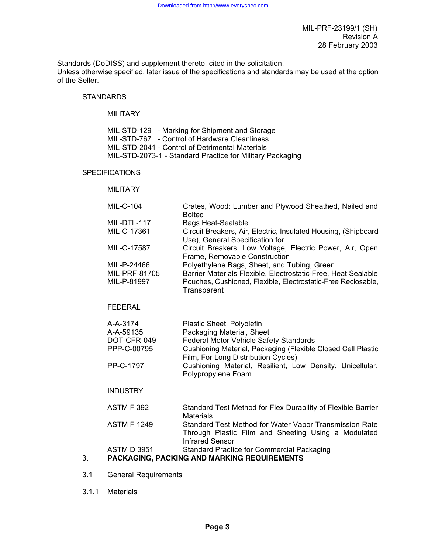Standards (DoDISS) and supplement thereto, cited in the solicitation. Unless otherwise specified, later issue of the specifications and standards may be used at the option of the Seller.

## **STANDARDS**

### **MILITARY**

| MIL-STD-129 - Marking for Shipment and Storage            |
|-----------------------------------------------------------|
| MIL-STD-767 - Control of Hardware Cleanliness             |
| MIL-STD-2041 - Control of Detrimental Materials           |
| MIL-STD-2073-1 - Standard Practice for Military Packaging |

### SPECIFICATIONS

### **MILITARY**

|    | MIL-C-104                                   | Crates, Wood: Lumber and Plywood Sheathed, Nailed and<br><b>Bolted</b>                                                                  |  |  |  |  |
|----|---------------------------------------------|-----------------------------------------------------------------------------------------------------------------------------------------|--|--|--|--|
|    | MIL-DTL-117                                 | <b>Bags Heat-Sealable</b>                                                                                                               |  |  |  |  |
|    | MIL-C-17361                                 | Circuit Breakers, Air, Electric, Insulated Housing, (Shipboard<br>Use), General Specification for                                       |  |  |  |  |
|    | MIL-C-17587                                 | Circuit Breakers, Low Voltage, Electric Power, Air, Open<br>Frame, Removable Construction                                               |  |  |  |  |
|    | MIL-P-24466                                 | Polyethylene Bags, Sheet, and Tubing, Green                                                                                             |  |  |  |  |
|    | MIL-PRF-81705                               | Barrier Materials Flexible, Electrostatic-Free, Heat Sealable                                                                           |  |  |  |  |
|    | MIL-P-81997                                 | Pouches, Cushioned, Flexible, Electrostatic-Free Reclosable,<br>Transparent                                                             |  |  |  |  |
|    | <b>FEDERAL</b>                              |                                                                                                                                         |  |  |  |  |
|    | A-A-3174                                    | Plastic Sheet, Polyolefin                                                                                                               |  |  |  |  |
|    | A-A-59135                                   | Packaging Material, Sheet                                                                                                               |  |  |  |  |
|    | DOT-CFR-049                                 | Federal Motor Vehicle Safety Standards                                                                                                  |  |  |  |  |
|    | PPP-C-00795                                 | Cushioning Material, Packaging (Flexible Closed Cell Plastic<br>Film, For Long Distribution Cycles)                                     |  |  |  |  |
|    | PP-C-1797                                   | Cushioning Material, Resilient, Low Density, Unicellular,<br>Polypropylene Foam                                                         |  |  |  |  |
|    | <b>INDUSTRY</b>                             |                                                                                                                                         |  |  |  |  |
|    | <b>ASTM F 392</b>                           | Standard Test Method for Flex Durability of Flexible Barrier<br><b>Materials</b>                                                        |  |  |  |  |
|    | <b>ASTM F 1249</b>                          | Standard Test Method for Water Vapor Transmission Rate<br>Through Plastic Film and Sheeting Using a Modulated<br><b>Infrared Sensor</b> |  |  |  |  |
|    | <b>ASTM D 3951</b>                          | <b>Standard Practice for Commercial Packaging</b>                                                                                       |  |  |  |  |
| 3. | PACKAGING, PACKING AND MARKING REQUIREMENTS |                                                                                                                                         |  |  |  |  |

- 3.1 General Requirements
- 3.1.1 Materials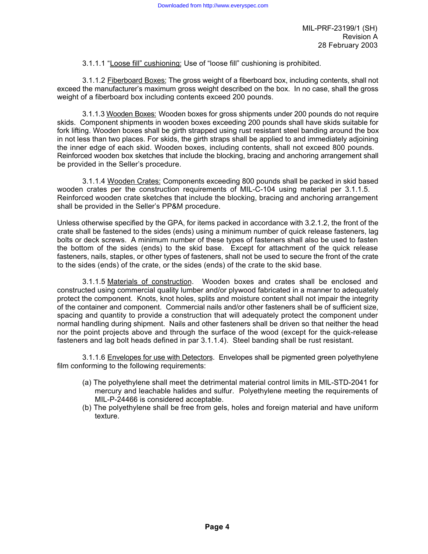3.1.1.1 "Loose fill" cushioning: Use of "loose fill" cushioning is prohibited.

3.1.1.2 Fiberboard Boxes: The gross weight of a fiberboard box, including contents, shall not exceed the manufacturer's maximum gross weight described on the box. In no case, shall the gross weight of a fiberboard box including contents exceed 200 pounds.

3.1.1.3 Wooden Boxes: Wooden boxes for gross shipments under 200 pounds do not require skids. Component shipments in wooden boxes exceeding 200 pounds shall have skids suitable for fork lifting. Wooden boxes shall be girth strapped using rust resistant steel banding around the box in not less than two places. For skids, the girth straps shall be applied to and immediately adjoining the inner edge of each skid. Wooden boxes, including contents, shall not exceed 800 pounds. Reinforced wooden box sketches that include the blocking, bracing and anchoring arrangement shall be provided in the Seller's procedure.

3.1.1.4 Wooden Crates: Components exceeding 800 pounds shall be packed in skid based wooden crates per the construction requirements of MIL-C-104 using material per 3.1.1.5. Reinforced wooden crate sketches that include the blocking, bracing and anchoring arrangement shall be provided in the Seller's PP&M procedure.

Unless otherwise specified by the GPA, for items packed in accordance with 3.2.1.2, the front of the crate shall be fastened to the sides (ends) using a minimum number of quick release fasteners, lag bolts or deck screws. A minimum number of these types of fasteners shall also be used to fasten the bottom of the sides (ends) to the skid base. Except for attachment of the quick release fasteners, nails, staples, or other types of fasteners, shall not be used to secure the front of the crate to the sides (ends) of the crate, or the sides (ends) of the crate to the skid base.

3.1.1.5 Materials of construction. Wooden boxes and crates shall be enclosed and constructed using commercial quality lumber and/or plywood fabricated in a manner to adequately protect the component. Knots, knot holes, splits and moisture content shall not impair the integrity of the container and component. Commercial nails and/or other fasteners shall be of sufficient size, spacing and quantity to provide a construction that will adequately protect the component under normal handling during shipment. Nails and other fasteners shall be driven so that neither the head nor the point projects above and through the surface of the wood (except for the quick-release fasteners and lag bolt heads defined in par 3.1.1.4). Steel banding shall be rust resistant.

3.1.1.6 Envelopes for use with Detectors. Envelopes shall be pigmented green polyethylene film conforming to the following requirements:

- (a) The polyethylene shall meet the detrimental material control limits in MIL-STD-2041 for mercury and leachable halides and sulfur. Polyethylene meeting the requirements of MIL-P-24466 is considered acceptable.
- (b) The polyethylene shall be free from gels, holes and foreign material and have uniform texture.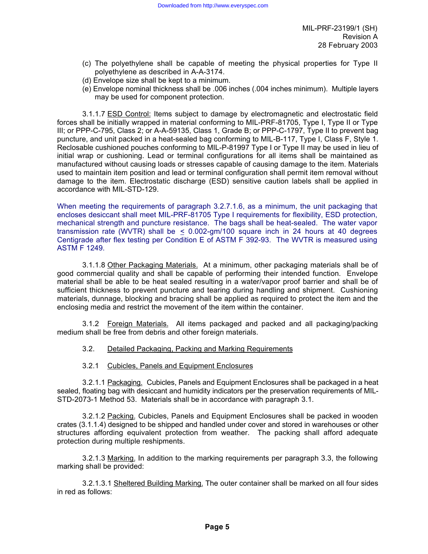- (c) The polyethylene shall be capable of meeting the physical properties for Type II polyethylene as described in A-A-3174.
- (d) Envelope size shall be kept to a minimum.
- (e) Envelope nominal thickness shall be .006 inches (.004 inches minimum). Multiple layers may be used for component protection.

3.1.1.7 ESD Control: Items subject to damage by electromagnetic and electrostatic field forces shall be initially wrapped in material conforming to MIL-PRF-81705, Type I, Type II or Type III; or PPP-C-795, Class 2; or A-A-59135, Class 1, Grade B; or PPP-C-1797, Type II to prevent bag puncture, and unit packed in a heat-sealed bag conforming to MIL-B-117, Type I, Class F, Style 1. Reclosable cushioned pouches conforming to MIL-P-81997 Type I or Type II may be used in lieu of initial wrap or cushioning. Lead or terminal configurations for all items shall be maintained as manufactured without causing loads or stresses capable of causing damage to the item. Materials used to maintain item position and lead or terminal configuration shall permit item removal without damage to the item. Electrostatic discharge (ESD) sensitive caution labels shall be applied in accordance with MIL-STD-129.

When meeting the requirements of paragraph 3.2.7.1.6, as a minimum, the unit packaging that encloses desiccant shall meet MIL-PRF-81705 Type I requirements for flexibility, ESD protection, mechanical strength and puncture resistance. The bags shall be heat-sealed. The water vapor transmission rate (WVTR) shall be  $\leq$  0.002-gm/100 square inch in 24 hours at 40 degrees Centigrade after flex testing per Condition E of ASTM F 392-93. The WVTR is measured using ASTM F 1249.

3.1.1.8 Other Packaging Materials. At a minimum, other packaging materials shall be of good commercial quality and shall be capable of performing their intended function. Envelope material shall be able to be heat sealed resulting in a water/vapor proof barrier and shall be of sufficient thickness to prevent puncture and tearing during handling and shipment. Cushioning materials, dunnage, blocking and bracing shall be applied as required to protect the item and the enclosing media and restrict the movement of the item within the container.

3.1.2 Foreign Materials. All items packaged and packed and all packaging/packing medium shall be free from debris and other foreign materials.

- 3.2. Detailed Packaging, Packing and Marking Requirements
- 3.2.1 Cubicles, Panels and Equipment Enclosures

3.2.1.1 Packaging. Cubicles, Panels and Equipment Enclosures shall be packaged in a heat sealed, floating bag with desiccant and humidity indicators per the preservation requirements of MIL-STD-2073-1 Method 53. Materials shall be in accordance with paragraph 3.1.

3.2.1.2 Packing. Cubicles, Panels and Equipment Enclosures shall be packed in wooden crates (3.1.1.4) designed to be shipped and handled under cover and stored in warehouses or other structures affording equivalent protection from weather. The packing shall afford adequate protection during multiple reshipments.

3.2.1.3 Marking. In addition to the marking requirements per paragraph 3.3, the following marking shall be provided:

3.2.1.3.1 Sheltered Building Marking. The outer container shall be marked on all four sides in red as follows: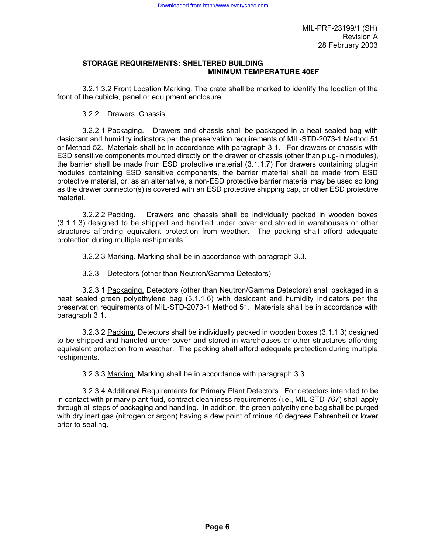### **STORAGE REQUIREMENTS: SHELTERED BUILDING MINIMUM TEMPERATURE 40**E**F**

3.2.1.3.2 Front Location Marking. The crate shall be marked to identify the location of the front of the cubicle, panel or equipment enclosure.

### 3.2.2 Drawers, Chassis

3.2.2.1 Packaging. Drawers and chassis shall be packaged in a heat sealed bag with desiccant and humidity indicators per the preservation requirements of MIL-STD-2073-1 Method 51 or Method 52. Materials shall be in accordance with paragraph 3.1. For drawers or chassis with ESD sensitive components mounted directly on the drawer or chassis (other than plug-in modules), the barrier shall be made from ESD protective material (3.1.1.7) For drawers containing plug-in modules containing ESD sensitive components, the barrier material shall be made from ESD protective material, or, as an alternative, a non-ESD protective barrier material may be used so long as the drawer connector(s) is covered with an ESD protective shipping cap, or other ESD protective material.

3.2.2.2 Packing. Drawers and chassis shall be individually packed in wooden boxes (3.1.1.3) designed to be shipped and handled under cover and stored in warehouses or other structures affording equivalent protection from weather. The packing shall afford adequate protection during multiple reshipments.

3.2.2.3 Marking. Marking shall be in accordance with paragraph 3.3.

### 3.2.3 Detectors (other than Neutron/Gamma Detectors)

3.2.3.1 Packaging. Detectors (other than Neutron/Gamma Detectors) shall packaged in a heat sealed green polyethylene bag (3.1.1.6) with desiccant and humidity indicators per the preservation requirements of MIL-STD-2073-1 Method 51. Materials shall be in accordance with paragraph 3.1.

3.2.3.2 Packing. Detectors shall be individually packed in wooden boxes (3.1.1.3) designed to be shipped and handled under cover and stored in warehouses or other structures affording equivalent protection from weather. The packing shall afford adequate protection during multiple reshipments.

3.2.3.3 Marking. Marking shall be in accordance with paragraph 3.3.

3.2.3.4 Additional Requirements for Primary Plant Detectors. For detectors intended to be in contact with primary plant fluid, contract cleanliness requirements (i.e., MIL-STD-767) shall apply through all steps of packaging and handling. In addition, the green polyethylene bag shall be purged with dry inert gas (nitrogen or argon) having a dew point of minus 40 degrees Fahrenheit or lower prior to sealing.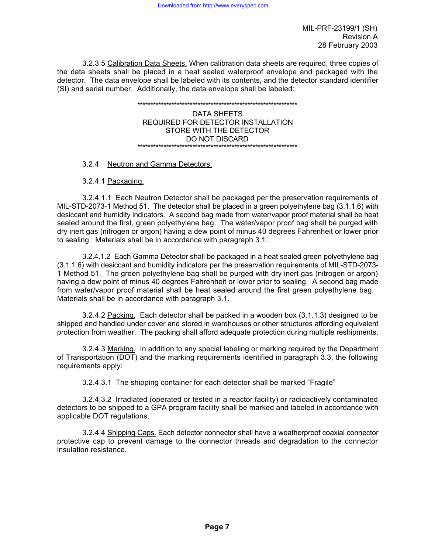3.2.3.5 Calibration Data Sheets. When calibration data sheets are required, three copies of the data sheets shall be placed in a heat sealed waterproof envelope and packaged with the detector. The data envelope shall be labeled with its contents, and the detector standard identifier (SI) and serial number. Additionally, the data envelope shall be labeled:

#### \*\*\*\*\*\*\*\*\*\*\*\*\*\*\*\*\*\*\*\*\*\*\*\*\*\*\*\*\*\*\*\*\*\*\*\*\*\*\*\*\*\*\*\*\*\*\*\*\*\*\*\*\*\*\*\*\*\*\*\*\* DATA SHEETS REQUIRED FOR DETECTOR INSTALLATION STORE WITH THE DETECTOR DO NOT DISCARD \*\*\*\*\*\*\*\*\*\*\*\*\*\*\*\*\*\*\*\*\*\*\*\*\*\*\*\*\*\*\*\*\*\*\*\*\*\*\*\*\*\*\*\*\*\*\*\*\*\*\*\*\*\*\*\*\*\*\*\*\*

### 3.2.4 Neutron and Gamma Detectors.

3.2.4.1 Packaging.

3.2.4.1.1 Each Neutron Detector shall be packaged per the preservation requirements of MIL-STD-2073-1 Method 51. The detector shall be placed in a green polyethylene bag (3.1.1.6) with desiccant and humidity indicators. A second bag made from water/vapor proof material shall be heat sealed around the first, green polyethylene bag. The water/vapor proof bag shall be purged with dry inert gas (nitrogen or argon) having a dew point of minus 40 degrees Fahrenheit or lower prior to sealing. Materials shall be in accordance with paragraph 3.1.

3.2.4.1.2 Each Gamma Detector shall be packaged in a heat sealed green polyethylene bag (3.1.1.6) with desiccant and humidity indicators per the preservation requirements of MIL-STD-2073- 1 Method 51. The green polyethylene bag shall be purged with dry inert gas (nitrogen or argon) having a dew point of minus 40 degrees Fahrenheit or lower prior to sealing. A second bag made from water/vapor proof material shall be heat sealed around the first green polyethylene bag. Materials shall be in accordance with paragraph 3.1.

3.2.4.2 Packing. Each detector shall be packed in a wooden box (3.1.1.3) designed to be shipped and handled under cover and stored in warehouses or other structures affording equivalent protection from weather. The packing shall afford adequate protection during multiple reshipments.

3.2.4.3 Marking. In addition to any special labeling or marking required by the Department of Transportation (DOT) and the marking requirements identified in paragraph 3.3, the following requirements apply:

3.2.4.3.1 The shipping container for each detector shall be marked "Fragile"

3.2.4.3.2 Irradiated (operated or tested in a reactor facility) or radioactively contaminated detectors to be shipped to a GPA program facility shall be marked and labeled in accordance with applicable DOT regulations.

3.2.4.4 Shipping Caps. Each detector connector shall have a weatherproof coaxial connector protective cap to prevent damage to the connector threads and degradation to the connector insulation resistance.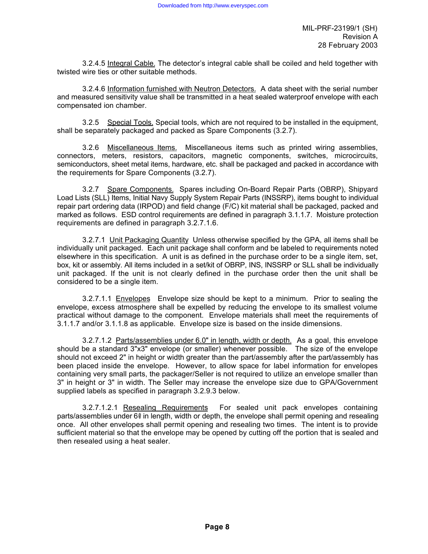3.2.4.5 Integral Cable. The detector's integral cable shall be coiled and held together with twisted wire ties or other suitable methods.

3.2.4.6 Information furnished with Neutron Detectors. A data sheet with the serial number and measured sensitivity value shall be transmitted in a heat sealed waterproof envelope with each compensated ion chamber.

3.2.5 Special Tools. Special tools, which are not required to be installed in the equipment, shall be separately packaged and packed as Spare Components (3.2.7).

3.2.6 Miscellaneous Items. Miscellaneous items such as printed wiring assemblies, connectors, meters, resistors, capacitors, magnetic components, switches, microcircuits, semiconductors, sheet metal items, hardware, etc. shall be packaged and packed in accordance with the requirements for Spare Components (3.2.7).

3.2.7 Spare Components. Spares including On-Board Repair Parts (OBRP), Shipyard Load Lists (SLL) Items, Initial Navy Supply System Repair Parts (INSSRP), items bought to individual repair part ordering data (IRPOD) and field change (F/C) kit material shall be packaged, packed and marked as follows. ESD control requirements are defined in paragraph 3.1.1.7. Moisture protection requirements are defined in paragraph 3.2.7.1.6.

3.2.7.1 Unit Packaging Quantity Unless otherwise specified by the GPA, all items shall be individually unit packaged. Each unit package shall conform and be labeled to requirements noted elsewhere in this specification. A unit is as defined in the purchase order to be a single item, set, box, kit or assembly. All items included in a set/kit of OBRP, INS, INSSRP or SLL shall be individually unit packaged. If the unit is not clearly defined in the purchase order then the unit shall be considered to be a single item.

3.2.7.1.1 Envelopes Envelope size should be kept to a minimum. Prior to sealing the envelope, excess atmosphere shall be expelled by reducing the envelope to its smallest volume practical without damage to the component. Envelope materials shall meet the requirements of 3.1.1.7 and/or 3.1.1.8 as applicable. Envelope size is based on the inside dimensions.

3.2.7.1.2 Parts/assemblies under 6.0" in length, width or depth. As a goal, this envelope should be a standard 3"x3" envelope (or smaller) whenever possible. The size of the envelope should not exceed 2" in height or width greater than the part/assembly after the part/assembly has been placed inside the envelope. However, to allow space for label information for envelopes containing very small parts, the packager/Seller is not required to utilize an envelope smaller than 3" in height or 3" in width. The Seller may increase the envelope size due to GPA/Government supplied labels as specified in paragraph 3.2.9.3 below.

3.2.7.1.2.1 Resealing Requirements For sealed unit pack envelopes containing parts/assemblies under 6@ in length, width or depth, the envelope shall permit opening and resealing once. All other envelopes shall permit opening and resealing two times. The intent is to provide sufficient material so that the envelope may be opened by cutting off the portion that is sealed and then resealed using a heat sealer.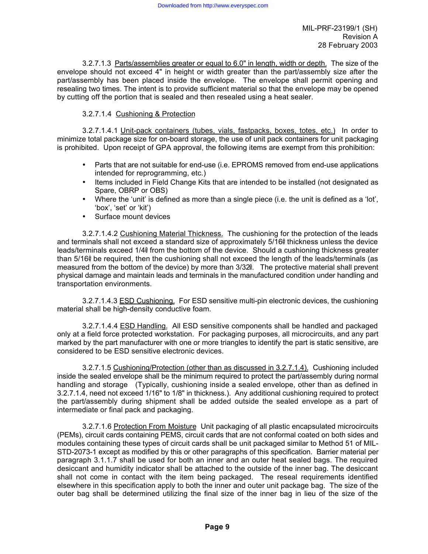3.2.7.1.3 Parts/assemblies greater or equal to 6.0" in length, width or depth. The size of the envelope should not exceed 4" in height or width greater than the part/assembly size after the part/assembly has been placed inside the envelope. The envelope shall permit opening and resealing two times. The intent is to provide sufficient material so that the envelope may be opened by cutting off the portion that is sealed and then resealed using a heat sealer.

### 3.2.7.1.4 Cushioning & Protection

3.2.7.1.4.1 Unit-pack containers (tubes, vials, fastpacks, boxes, totes, etc.) In order to minimize total package size for on-board storage, the use of unit pack containers for unit packaging is prohibited. Upon receipt of GPA approval, the following items are exempt from this prohibition:

- Parts that are not suitable for end-use (i.e. EPROMS removed from end-use applications intended for reprogramming, etc.)
- Items included in Field Change Kits that are intended to be installed (not designated as Spare, OBRP or OBS)
- Where the 'unit' is defined as more than a single piece (i.e. the unit is defined as a 'lot', 'box', 'set' or 'kit')
- Surface mount devices

3.2.7.1.4.2 Cushioning Material Thickness. The cushioning for the protection of the leads and terminals shall not exceed a standard size of approximately 5/16@ thickness unless the device leads/terminals exceed 1/4@ from the bottom of the device. Should a cushioning thickness greater than 5/16@ be required, then the cushioning shall not exceed the length of the leads/terminals (as measured from the bottom of the device) by more than 3/32@. The protective material shall prevent physical damage and maintain leads and terminals in the manufactured condition under handling and transportation environments.

3.2.7.1.4.3 ESD Cushioning. For ESD sensitive multi-pin electronic devices, the cushioning material shall be high-density conductive foam.

3.2.7.1.4.4 ESD Handling. All ESD sensitive components shall be handled and packaged only at a field force protected workstation. For packaging purposes, all microcircuits, and any part marked by the part manufacturer with one or more triangles to identify the part is static sensitive, are considered to be ESD sensitive electronic devices.

3.2.7.1.5 Cushioning/Protection (other than as discussed in 3.2.7.1.4). Cushioning included inside the sealed envelope shall be the minimum required to protect the part/assembly during normal handling and storage (Typically, cushioning inside a sealed envelope, other than as defined in 3.2.7.1.4, need not exceed 1/16" to 1/8" in thickness.). Any additional cushioning required to protect the part/assembly during shipment shall be added outside the sealed envelope as a part of intermediate or final pack and packaging.

3.2.7.1.6 Protection From Moisture Unit packaging of all plastic encapsulated microcircuits (PEMs), circuit cards containing PEMS, circuit cards that are not conformal coated on both sides and modules containing these types of circuit cards shall be unit packaged similar to Method 51 of MIL-STD-2073-1 except as modified by this or other paragraphs of this specification. Barrier material per paragraph 3.1.1.7 shall be used for both an inner and an outer heat sealed bags. The required desiccant and humidity indicator shall be attached to the outside of the inner bag. The desiccant shall not come in contact with the item being packaged. The reseal requirements identified elsewhere in this specification apply to both the inner and outer unit package bag. The size of the outer bag shall be determined utilizing the final size of the inner bag in lieu of the size of the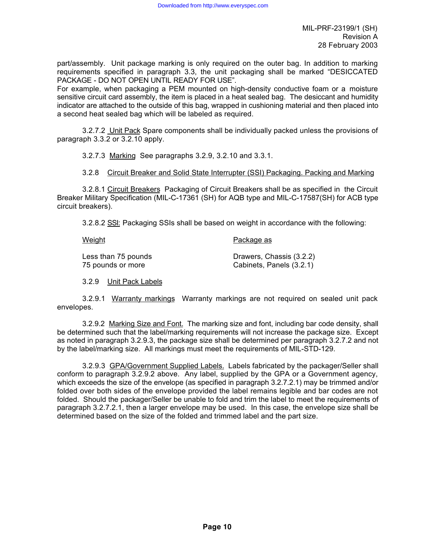part/assembly. Unit package marking is only required on the outer bag. In addition to marking requirements specified in paragraph 3.3, the unit packaging shall be marked "DESICCATED PACKAGE - DO NOT OPEN UNTIL READY FOR USE".

For example, when packaging a PEM mounted on high-density conductive foam or a moisture sensitive circuit card assembly, the item is placed in a heat sealed bag. The desiccant and humidity indicator are attached to the outside of this bag, wrapped in cushioning material and then placed into a second heat sealed bag which will be labeled as required.

3.2.7.2 Unit Pack Spare components shall be individually packed unless the provisions of paragraph 3.3.2 or 3.2.10 apply.

3.2.7.3 Marking See paragraphs 3.2.9, 3.2.10 and 3.3.1.

3.2.8 Circuit Breaker and Solid State Interrupter (SSI) Packaging. Packing and Marking

3.2.8.1 Circuit Breakers Packaging of Circuit Breakers shall be as specified in the Circuit Breaker Military Specification (MIL-C-17361 (SH) for AQB type and MIL-C-17587(SH) for ACB type circuit breakers).

3.2.8.2 SSI: Packaging SSIs shall be based on weight in accordance with the following:

Weight **Package as** 

Less than 75 pounds Drawers, Chassis (3.2.2) 75 pounds or more Cabinets, Panels (3.2.1)

3.2.9 Unit Pack Labels

3.2.9.1 Warranty markings Warranty markings are not required on sealed unit pack envelopes.

3.2.9.2 Marking Size and Font. The marking size and font, including bar code density, shall be determined such that the label/marking requirements will not increase the package size. Except as noted in paragraph 3.2.9.3, the package size shall be determined per paragraph 3.2.7.2 and not by the label/marking size. All markings must meet the requirements of MIL-STD-129.

3.2.9.3 GPA/Government Supplied Labels. Labels fabricated by the packager/Seller shall conform to paragraph 3.2.9.2 above. Any label, supplied by the GPA or a Government agency, which exceeds the size of the envelope (as specified in paragraph 3.2.7.2.1) may be trimmed and/or folded over both sides of the envelope provided the label remains legible and bar codes are not folded. Should the packager/Seller be unable to fold and trim the label to meet the requirements of paragraph 3.2.7.2.1, then a larger envelope may be used. In this case, the envelope size shall be determined based on the size of the folded and trimmed label and the part size.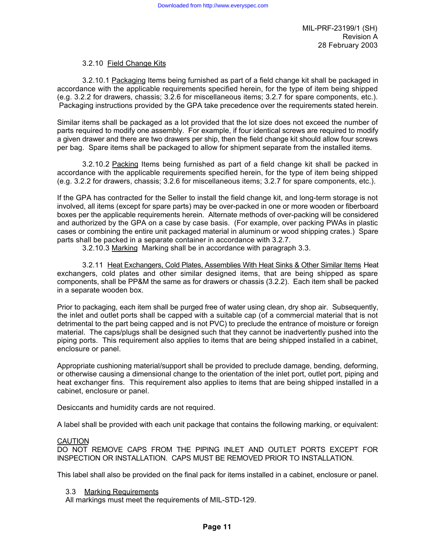## 3.2.10 Field Change Kits

3.2.10.1 Packaging Items being furnished as part of a field change kit shall be packaged in accordance with the applicable requirements specified herein, for the type of item being shipped (e.g. 3.2.2 for drawers, chassis; 3.2.6 for miscellaneous items; 3.2.7 for spare components, etc.). Packaging instructions provided by the GPA take precedence over the requirements stated herein.

Similar items shall be packaged as a lot provided that the lot size does not exceed the number of parts required to modify one assembly. For example, if four identical screws are required to modify a given drawer and there are two drawers per ship, then the field change kit should allow four screws per bag. Spare items shall be packaged to allow for shipment separate from the installed items.

3.2.10.2 Packing Items being furnished as part of a field change kit shall be packed in accordance with the applicable requirements specified herein, for the type of item being shipped (e.g. 3.2.2 for drawers, chassis; 3.2.6 for miscellaneous items; 3.2.7 for spare components, etc.).

If the GPA has contracted for the Seller to install the field change kit, and long-term storage is not involved, all items (except for spare parts) may be over-packed in one or more wooden or fiberboard boxes per the applicable requirements herein. Alternate methods of over-packing will be considered and authorized by the GPA on a case by case basis. (For example, over packing PWAs in plastic cases or combining the entire unit packaged material in aluminum or wood shipping crates.) Spare parts shall be packed in a separate container in accordance with 3.2.7.

3.2.10.3 Marking Marking shall be in accordance with paragraph 3.3.

3.2.11 Heat Exchangers, Cold Plates, Assemblies With Heat Sinks & Other Similar Items Heat exchangers, cold plates and other similar designed items, that are being shipped as spare components, shall be PP&M the same as for drawers or chassis (3.2.2). Each item shall be packed in a separate wooden box.

Prior to packaging, each item shall be purged free of water using clean, dry shop air. Subsequently, the inlet and outlet ports shall be capped with a suitable cap (of a commercial material that is not detrimental to the part being capped and is not PVC) to preclude the entrance of moisture or foreign material. The caps/plugs shall be designed such that they cannot be inadvertently pushed into the piping ports. This requirement also applies to items that are being shipped installed in a cabinet, enclosure or panel.

Appropriate cushioning material/support shall be provided to preclude damage, bending, deforming, or otherwise causing a dimensional change to the orientation of the inlet port, outlet port, piping and heat exchanger fins. This requirement also applies to items that are being shipped installed in a cabinet, enclosure or panel.

Desiccants and humidity cards are not required.

A label shall be provided with each unit package that contains the following marking, or equivalent:

#### CAUTION

DO NOT REMOVE CAPS FROM THE PIPING INLET AND OUTLET PORTS EXCEPT FOR INSPECTION OR INSTALLATION. CAPS MUST BE REMOVED PRIOR TO INSTALLATION.

This label shall also be provided on the final pack for items installed in a cabinet, enclosure or panel.

#### 3.3 Marking Requirements

All markings must meet the requirements of MIL-STD-129.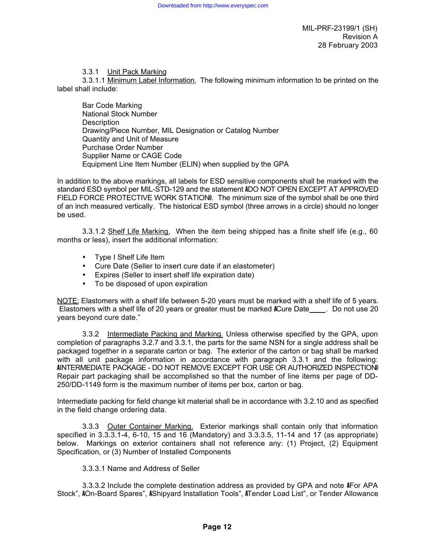### 3.3.1 Unit Pack Marking

3.3.1.1 Minimum Label Information. The following minimum information to be printed on the label shall include:

Bar Code Marking National Stock Number **Description** Drawing/Piece Number, MIL Designation or Catalog Number Quantity and Unit of Measure Purchase Order Number Supplier Name or CAGE Code Equipment Line Item Number (ELIN) when supplied by the GPA

In addition to the above markings, all labels for ESD sensitive components shall be marked with the standard ESD symbol per MIL-STD-129 and the statement ADO NOT OPEN EXCEPT AT APPROVED FIELD FORCE PROTECTIVE WORK STATION®. The minimum size of the symbol shall be one third of an inch measured vertically. The historical ESD symbol (three arrows in a circle) should no longer be used.

3.3.1.2 Shelf Life Marking. When the item being shipped has a finite shelf life (e.g., 60 months or less), insert the additional information:

- Type I Shelf Life Item
- Cure Date (Seller to insert cure date if an elastometer)
- Expires (Seller to insert shelf life expiration date)
- To be disposed of upon expiration

NOTE: Elastomers with a shelf life between 5-20 years must be marked with a shelf life of 5 years. Elastomers with a shelf life of 20 years or greater must be marked ACure Date . Do not use 20 years beyond cure date."

3.3.2 Intermediate Packing and Marking. Unless otherwise specified by the GPA, upon completion of paragraphs 3.2.7 and 3.3.1, the parts for the same NSN for a single address shall be packaged together in a separate carton or bag. The exterior of the carton or bag shall be marked with all unit package information in accordance with paragraph 3.3.1 and the following: AINTERMEDIATE PACKAGE - DO NOT REMOVE EXCEPT FOR USE OR AUTHORIZED INSPECTION@ Repair part packaging shall be accomplished so that the number of line items per page of DD-250/DD-1149 form is the maximum number of items per box, carton or bag.

Intermediate packing for field change kit material shall be in accordance with 3.2.10 and as specified in the field change ordering data.

3.3.3 Outer Container Marking. Exterior markings shall contain only that information specified in 3.3.3.1-4, 6-10, 15 and 16 (Mandatory) and 3.3.3.5, 11-14 and 17 (as appropriate) below. Markings on exterior containers shall not reference any: (1) Project, (2) Equipment Specification, or (3) Number of Installed Components

### 3.3.3.1 Name and Address of Seller

3.3.3.2 Include the complete destination address as provided by GPA and note AFor APA Stock", AOn-Board Spares", AShipyard Installation Tools", ATender Load List", or Tender Allowance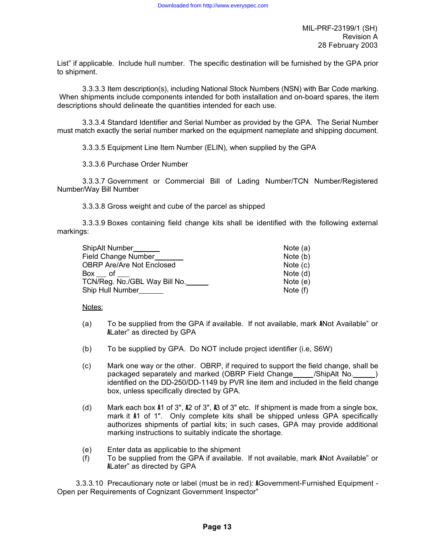List" if applicable. Include hull number. The specific destination will be furnished by the GPA prior to shipment.

3.3.3.3 Item description(s), including National Stock Numbers (NSN) with Bar Code marking. When shipments include components intended for both installation and on-board spares, the item descriptions should delineate the quantities intended for each use.

3.3.3.4 Standard Identifier and Serial Number as provided by the GPA. The Serial Number must match exactly the serial number marked on the equipment nameplate and shipping document.

3.3.3.5 Equipment Line Item Number (ELIN), when supplied by the GPA

3.3.3.6 Purchase Order Number

3.3.3.7 Government or Commercial Bill of Lading Number/TCN Number/Registered Number/Way Bill Number

3.3.3.8 Gross weight and cube of the parcel as shipped

3.3.3.9 Boxes containing field change kits shall be identified with the following external markings:

| ShipAlt Number                   | Note $(a)$ |
|----------------------------------|------------|
| Field Change Number              | Note (b)   |
| <b>OBRP Are/Are Not Enclosed</b> | Note $(c)$ |
| Box of                           | Note $(d)$ |
| TCN/Reg. No./GBL Way Bill No.    | Note $(e)$ |
| Ship Hull Number                 | Note (f)   |

Notes:

- (a) To be supplied from the GPA if available. If not available, mark ANot Available" or ALater" as directed by GPA
- (b) To be supplied by GPA. Do NOT include project identifier (i.e, S6W)
- (c) Mark one way or the other. OBRP, if required to support the field change, shall be packaged separately and marked (OBRP Field Change /ShipAlt No. ) identified on the DD-250/DD-1149 by PVR line item and included in the field change box, unless specifically directed by GPA.
- (d) Mark each box A1 of 3", A2 of 3", A3 of 3" etc. If shipment is made from a single box, mark it A1 of 1". Only complete kits shall be shipped unless GPA specifically authorizes shipments of partial kits; in such cases, GPA may provide additional marking instructions to suitably indicate the shortage.
- (e) Enter data as applicable to the shipment
- (f) To be supplied from the GPA if available. If not available, mark ANot Available" or ALater" as directed by GPA

3.3.3.10 Precautionary note or label (must be in red): AGovernment-Furnished Equipment - Open per Requirements of Cognizant Government Inspector"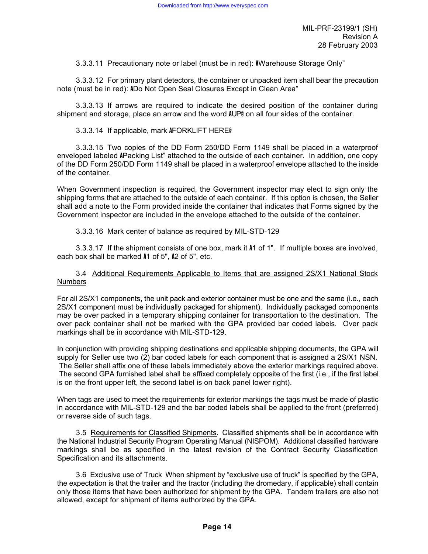3.3.3.11 Precautionary note or label (must be in red): AWarehouse Storage Only"

3.3.3.12 For primary plant detectors, the container or unpacked item shall bear the precaution note (must be in red): ADo Not Open Seal Closures Except in Clean Area"

3.3.3.13 If arrows are required to indicate the desired position of the container during shipment and storage, place an arrow and the word AUP@ on all four sides of the container.

### 3.3.3.14 If applicable, mark AFORKLIFT HERE@

3.3.3.15 Two copies of the DD Form 250/DD Form 1149 shall be placed in a waterproof enveloped labeled APacking List" attached to the outside of each container. In addition, one copy of the DD Form 250/DD Form 1149 shall be placed in a waterproof envelope attached to the inside of the container.

When Government inspection is required, the Government inspector may elect to sign only the shipping forms that are attached to the outside of each container. If this option is chosen, the Seller shall add a note to the Form provided inside the container that indicates that Forms signed by the Government inspector are included in the envelope attached to the outside of the container.

3.3.3.16 Mark center of balance as required by MIL-STD-129

3.3.3.17 If the shipment consists of one box, mark it A1 of 1". If multiple boxes are involved, each box shall be marked A1 of 5", A2 of 5", etc.

3.4 Additional Requirements Applicable to Items that are assigned 2S/X1 National Stock **Numbers** 

For all 2S/X1 components, the unit pack and exterior container must be one and the same (i.e., each 2S/X1 component must be individually packaged for shipment). Individually packaged components may be over packed in a temporary shipping container for transportation to the destination. The over pack container shall not be marked with the GPA provided bar coded labels. Over pack markings shall be in accordance with MIL-STD-129.

In conjunction with providing shipping destinations and applicable shipping documents, the GPA will supply for Seller use two (2) bar coded labels for each component that is assigned a 2S/X1 NSN. The Seller shall affix one of these labels immediately above the exterior markings required above. The second GPA furnished label shall be affixed completely opposite of the first (i.e., if the first label is on the front upper left, the second label is on back panel lower right).

When tags are used to meet the requirements for exterior markings the tags must be made of plastic in accordance with MIL-STD-129 and the bar coded labels shall be applied to the front (preferred) or reverse side of such tags.

3.5 Requirements for Classified Shipments. Classified shipments shall be in accordance with the National Industrial Security Program Operating Manual (NISPOM). Additional classified hardware markings shall be as specified in the latest revision of the Contract Security Classification Specification and its attachments.

3.6 Exclusive use of Truck When shipment by "exclusive use of truck" is specified by the GPA, the expectation is that the trailer and the tractor (including the dromedary, if applicable) shall contain only those items that have been authorized for shipment by the GPA. Tandem trailers are also not allowed, except for shipment of items authorized by the GPA.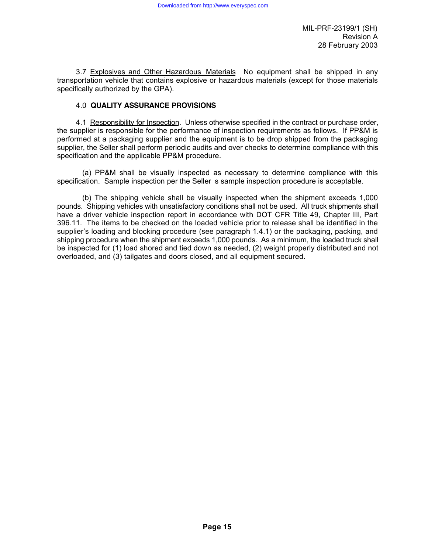3.7 Explosives and Other Hazardous Materials No equipment shall be shipped in any transportation vehicle that contains explosive or hazardous materials (except for those materials specifically authorized by the GPA).

### 4.0 **QUALITY ASSURANCE PROVISIONS**

4.1 Responsibility for Inspection. Unless otherwise specified in the contract or purchase order, the supplier is responsible for the performance of inspection requirements as follows. If PP&M is performed at a packaging supplier and the equipment is to be drop shipped from the packaging supplier, the Seller shall perform periodic audits and over checks to determine compliance with this specification and the applicable PP&M procedure.

(a) PP&M shall be visually inspected as necessary to determine compliance with this specification. Sample inspection per the Seller s sample inspection procedure is acceptable.

(b) The shipping vehicle shall be visually inspected when the shipment exceeds 1,000 pounds. Shipping vehicles with unsatisfactory conditions shall not be used. All truck shipments shall have a driver vehicle inspection report in accordance with DOT CFR Title 49, Chapter III, Part 396.11. The items to be checked on the loaded vehicle prior to release shall be identified in the supplier's loading and blocking procedure (see paragraph 1.4.1) or the packaging, packing, and shipping procedure when the shipment exceeds 1,000 pounds. As a minimum, the loaded truck shall be inspected for (1) load shored and tied down as needed, (2) weight properly distributed and not overloaded, and (3) tailgates and doors closed, and all equipment secured.